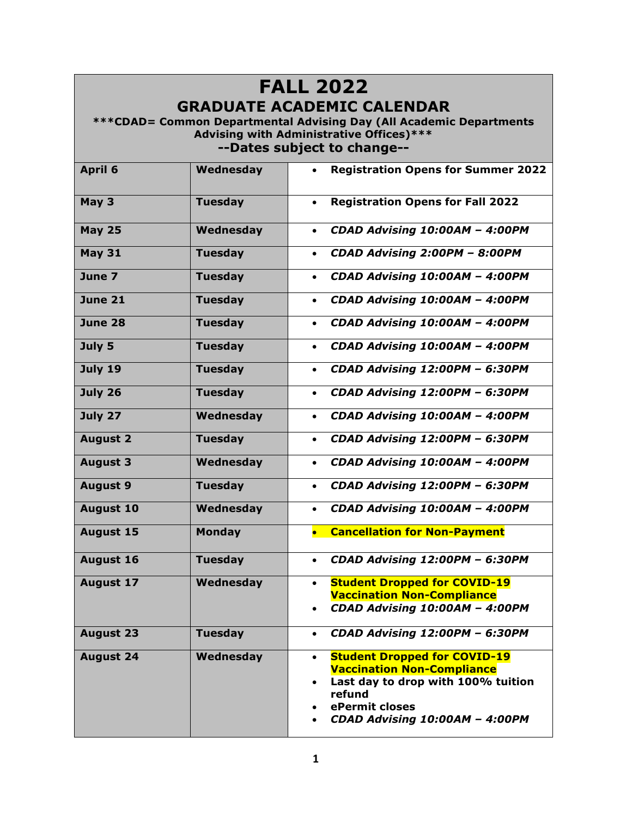## **FALL 2022 GRADUATE ACADEMIC CALENDAR**

**\*\*\*CDAD= Common Departmental Advising Day (All Academic Departments Advising with Administrative Offices)\*\*\* --Dates subject to change--**

| <b>April 6</b>   | Wednesday      | <b>Registration Opens for Summer 2022</b>                                             |
|------------------|----------------|---------------------------------------------------------------------------------------|
| May 3            | <b>Tuesday</b> | <b>Registration Opens for Fall 2022</b><br>$\bullet$                                  |
| <b>May 25</b>    | Wednesday      | CDAD Advising 10:00AM - 4:00PM<br>$\bullet$                                           |
| <b>May 31</b>    | <b>Tuesday</b> | CDAD Advising 2:00PM - 8:00PM<br>$\bullet$                                            |
| June 7           | <b>Tuesday</b> | CDAD Advising 10:00AM - 4:00PM<br>$\bullet$                                           |
| <b>June 21</b>   | <b>Tuesday</b> | CDAD Advising 10:00AM - 4:00PM<br>$\bullet$                                           |
| June 28          | <b>Tuesday</b> | CDAD Advising 10:00AM - 4:00PM<br>$\bullet$                                           |
| July 5           | <b>Tuesday</b> | CDAD Advising 10:00AM - 4:00PM<br>$\bullet$                                           |
| <b>July 19</b>   | <b>Tuesday</b> | CDAD Advising 12:00PM - 6:30PM<br>$\bullet$                                           |
| July 26          | <b>Tuesday</b> | CDAD Advising 12:00PM - 6:30PM<br>$\bullet$                                           |
| July 27          | Wednesday      | CDAD Advising 10:00AM - 4:00PM<br>$\bullet$                                           |
| <b>August 2</b>  | <b>Tuesday</b> | CDAD Advising 12:00PM - 6:30PM<br>$\bullet$                                           |
| <b>August 3</b>  | Wednesday      | CDAD Advising 10:00AM - 4:00PM<br>$\bullet$                                           |
| <b>August 9</b>  | <b>Tuesday</b> | CDAD Advising 12:00PM - 6:30PM<br>$\bullet$                                           |
| <b>August 10</b> | Wednesday      | CDAD Advising 10:00AM - 4:00PM<br>$\bullet$                                           |
| <b>August 15</b> | <b>Monday</b>  | • Cancellation for Non-Payment                                                        |
| <b>August 16</b> | <b>Tuesday</b> | CDAD Advising 12:00PM - 6:30PM<br>$\bullet$                                           |
| <b>August 17</b> | Wednesday      | <b>Student Dropped for COVID-19</b><br>$\bullet$<br><b>Vaccination Non-Compliance</b> |
|                  |                | CDAD Advising 10:00AM - 4:00PM                                                        |
| <b>August 23</b> | <b>Tuesday</b> | CDAD Advising 12:00PM - 6:30PM<br>$\bullet$                                           |
| <b>August 24</b> | Wednesday      | <b>Student Dropped for COVID-19</b><br>$\bullet$                                      |
|                  |                | <b>Vaccination Non-Compliance</b><br>Last day to drop with 100% tuition<br>$\bullet$  |
|                  |                | refund                                                                                |
|                  |                | ePermit closes<br>CDAD Advising 10:00AM - 4:00PM                                      |
|                  |                |                                                                                       |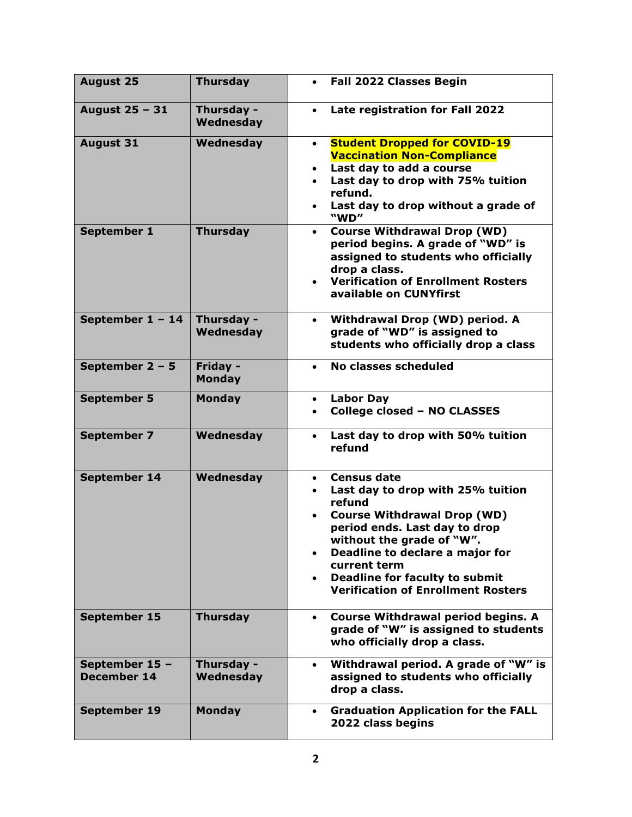| <b>August 25</b>                     | <b>Thursday</b>           | <b>Fall 2022 Classes Begin</b><br>$\bullet$                                                                                                                                                                                                                                                                                                                                     |
|--------------------------------------|---------------------------|---------------------------------------------------------------------------------------------------------------------------------------------------------------------------------------------------------------------------------------------------------------------------------------------------------------------------------------------------------------------------------|
| August 25 - 31                       | Thursday -<br>Wednesday   | Late registration for Fall 2022                                                                                                                                                                                                                                                                                                                                                 |
| <b>August 31</b>                     | Wednesday                 | <b>Student Dropped for COVID-19</b><br>$\bullet$<br><b>Vaccination Non-Compliance</b><br>Last day to add a course<br>$\bullet$<br>Last day to drop with 75% tuition<br>$\bullet$<br>refund.<br>Last day to drop without a grade of<br>$\bullet$<br>"WD"                                                                                                                         |
| September 1                          | <b>Thursday</b>           | <b>Course Withdrawal Drop (WD)</b><br>$\bullet$<br>period begins. A grade of "WD" is<br>assigned to students who officially<br>drop a class.<br><b>Verification of Enrollment Rosters</b><br>$\bullet$<br>available on CUNYfirst                                                                                                                                                |
| September $1 - 14$                   | Thursday -<br>Wednesday   | <b>Withdrawal Drop (WD) period. A</b><br>$\bullet$<br>grade of "WD" is assigned to<br>students who officially drop a class                                                                                                                                                                                                                                                      |
| September $2 - 5$                    | Friday -<br><b>Monday</b> | No classes scheduled<br>$\bullet$                                                                                                                                                                                                                                                                                                                                               |
| <b>September 5</b>                   | <b>Monday</b>             | <b>Labor Day</b><br>$\bullet$<br><b>College closed - NO CLASSES</b><br>$\bullet$                                                                                                                                                                                                                                                                                                |
| <b>September 7</b>                   | Wednesday                 | Last day to drop with 50% tuition<br>$\bullet$<br>refund                                                                                                                                                                                                                                                                                                                        |
| September 14                         | Wednesday                 | <b>Census date</b><br>$\bullet$<br>Last day to drop with 25% tuition<br>$\bullet$<br>refund<br><b>Course Withdrawal Drop (WD)</b><br>$\bullet$<br>period ends. Last day to drop<br>without the grade of "W".<br>Deadline to declare a major for<br>$\bullet$<br>current term<br><b>Deadline for faculty to submit</b><br>$\bullet$<br><b>Verification of Enrollment Rosters</b> |
| September 15                         | <b>Thursday</b>           | <b>Course Withdrawal period begins. A</b><br>$\bullet$<br>grade of "W" is assigned to students<br>who officially drop a class.                                                                                                                                                                                                                                                  |
| September 15 -<br><b>December 14</b> | Thursday -<br>Wednesday   | Withdrawal period. A grade of "W" is<br>$\bullet$<br>assigned to students who officially<br>drop a class.                                                                                                                                                                                                                                                                       |
| September 19                         | <b>Monday</b>             | <b>Graduation Application for the FALL</b><br>$\bullet$<br>2022 class begins                                                                                                                                                                                                                                                                                                    |